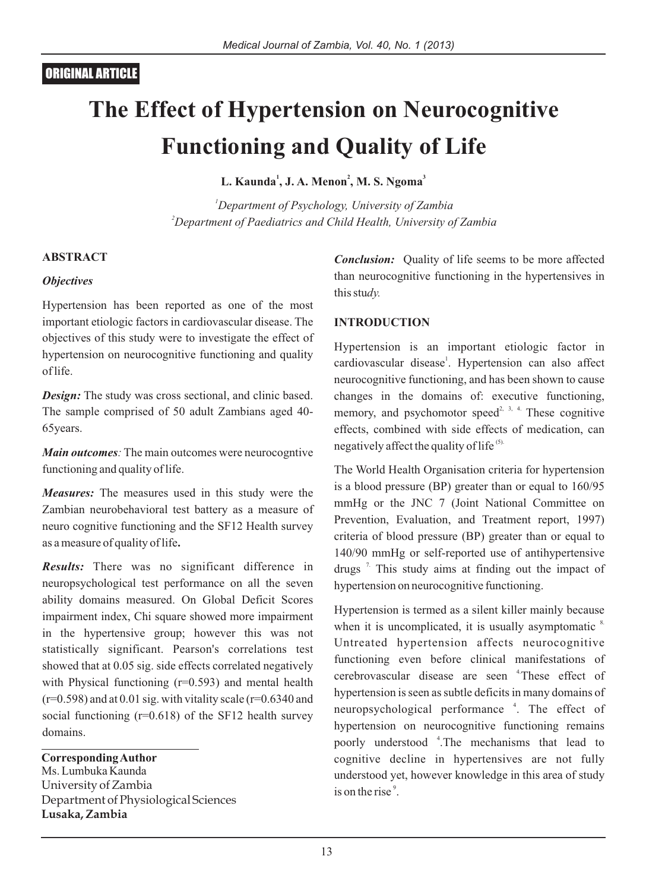# **The Effect of Hypertension on Neurocognitive Functioning and Quality of Life**

**<sup>1</sup> <sup>2</sup> <sup>3</sup> L. Kaunda , J. A. Menon , M. S. Ngoma**

*<sup>1</sup>Department of Psychology, University of Zambia <sup>2</sup>Department of Paediatrics and Child Health, University of Zambia*

## **ABSTRACT**

### *Objectives*

Hypertension has been reported as one of the most important etiologic factors in cardiovascular disease. The objectives of this study were to investigate the effect of hypertension on neurocognitive functioning and quality of life.

*Design:* The study was cross sectional, and clinic based. The sample comprised of 50 adult Zambians aged 40- 65years.

*Main outcomes:* The main outcomes were neurocogntive functioning and quality of life.

*Measures:* The measures used in this study were the Zambian neurobehavioral test battery as a measure of neuro cognitive functioning and the SF12 Health survey as a measure of quality of life**.**

*Results:* There was no significant difference in neuropsychological test performance on all the seven ability domains measured. On Global Deficit Scores impairment index, Chi square showed more impairment in the hypertensive group; however this was not statistically significant. Pearson's correlations test showed that at 0.05 sig. side effects correlated negatively with Physical functioning  $(r=0.593)$  and mental health  $(r=0.598)$  and at 0.01 sig. with vitality scale  $(r=0.6340)$  and social functioning  $(r=0.618)$  of the SF12 health survey domains.

**Corresponding Author** Ms. Lumbuka Kaunda University of Zambia Department of Physiological Sciences **Lusaka, Zambia**

*Conclusion:* Quality of life seems to be more affected than neurocognitive functioning in the hypertensives in this stu*dy.*

#### **INTRODUCTION**

Hypertension is an important etiologic factor in cardiovascular disease<sup>1</sup>. Hypertension can also affect neurocognitive functioning, and has been shown to cause changes in the domains of: executive functioning, memory, and psychomotor speed<sup>2, 3, 4.</sup> These cognitive effects, combined with side effects of medication, can negatively affect the quality of life<sup>(5)</sup>.

The World Health Organisation criteria for hypertension is a blood pressure (BP) greater than or equal to 160/95 mmHg or the JNC 7 (Joint National Committee on Prevention, Evaluation, and Treatment report, 1997) criteria of blood pressure (BP) greater than or equal to 140/90 mmHg or self-reported use of antihypertensive drugs<sup> $7$ </sup>. This study aims at finding out the impact of hypertension on neurocognitive functioning.

Hypertension is termed as a silent killer mainly because when it is uncomplicated, it is usually asymptomatic  $8$ . Untreated hypertension affects neurocognitive functioning even before clinical manifestations of cerebrovascular disease are seen <sup>4</sup>These effect of hypertension is seen as subtle deficits in many domains of neuropsychological performance <sup>4</sup>. The effect of hypertension on neurocognitive functioning remains poorly understood <sup>4</sup>. The mechanisms that lead to cognitive decline in hypertensives are not fully understood yet, however knowledge in this area of study is on the rise<sup>9</sup>.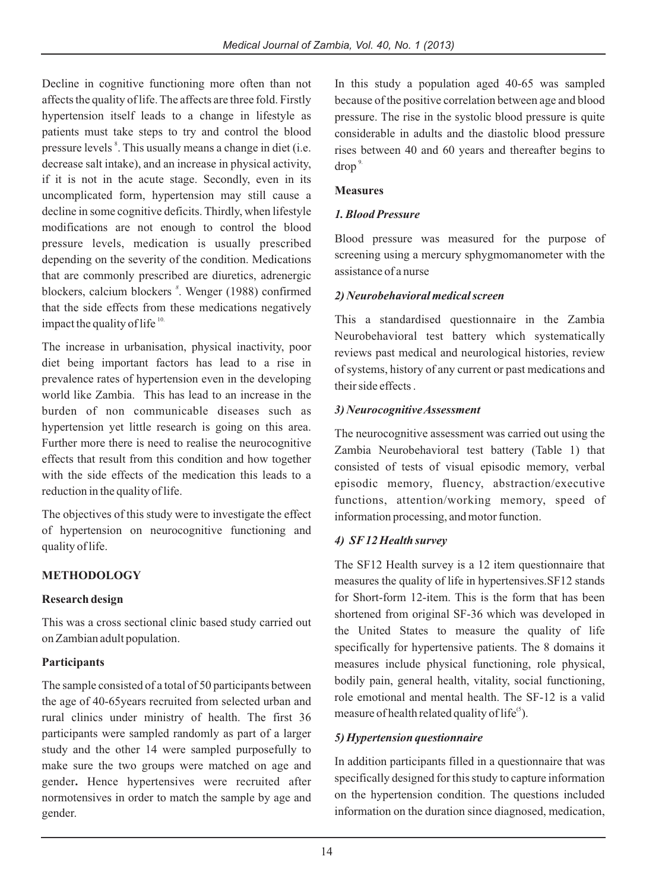Decline in cognitive functioning more often than not affects the quality of life. The affects are three fold. Firstly hypertension itself leads to a change in lifestyle as patients must take steps to try and control the blood pressure levels<sup>8</sup>. This usually means a change in diet (i.e. decrease salt intake), and an increase in physical activity, if it is not in the acute stage. Secondly, even in its uncomplicated form, hypertension may still cause a decline in some cognitive deficits. Thirdly, when lifestyle modifications are not enough to control the blood pressure levels, medication is usually prescribed depending on the severity of the condition. Medications that are commonly prescribed are diuretics, adrenergic blockers, calcium blockers <sup>8</sup>. Wenger (1988) confirmed that the side effects from these medications negatively impact the quality of life $10$ .

The increase in urbanisation, physical inactivity, poor diet being important factors has lead to a rise in prevalence rates of hypertension even in the developing world like Zambia. This has lead to an increase in the burden of non communicable diseases such as hypertension yet little research is going on this area. Further more there is need to realise the neurocognitive effects that result from this condition and how together with the side effects of the medication this leads to a reduction in the quality of life.

The objectives of this study were to investigate the effect of hypertension on neurocognitive functioning and quality of life.

# **METHODOLOGY**

### **Research design**

This was a cross sectional clinic based study carried out on Zambian adult population.

### **Participants**

The sample consisted of a total of 50 participants between the age of 40-65years recruited from selected urban and rural clinics under ministry of health. The first 36 participants were sampled randomly as part of a larger study and the other 14 were sampled purposefully to make sure the two groups were matched on age and gender**.** Hence hypertensives were recruited after normotensives in order to match the sample by age and gender.

In this study a population aged 40-65 was sampled because of the positive correlation between age and blood pressure. The rise in the systolic blood pressure is quite considerable in adults and the diastolic blood pressure rises between 40 and 60 years and thereafter begins to  $d$ rop<sup>9.</sup>

## **Measures**

## *1. Blood Pressure*

Blood pressure was measured for the purpose of screening using a mercury sphygmomanometer with the assistance of a nurse

### *2) Neurobehavioral medical screen*

This a standardised questionnaire in the Zambia Neurobehavioral test battery which systematically reviews past medical and neurological histories, review of systems, history of any current or past medications and their side effects .

### *3) Neurocognitive Assessment*

The neurocognitive assessment was carried out using the Zambia Neurobehavioral test battery (Table 1) that consisted of tests of visual episodic memory, verbal episodic memory, fluency, abstraction/executive functions, attention/working memory, speed of information processing, and motor function.

# *4) SF12 Health survey*

The SF12 Health survey is a 12 item questionnaire that measures the quality of life in hypertensives.SF12 stands for Short-form 12-item. This is the form that has been shortened from original SF-36 which was developed in the United States to measure the quality of life specifically for hypertensive patients. The 8 domains it measures include physical functioning, role physical, bodily pain, general health, vitality, social functioning, role emotional and mental health. The SF-12 is a valid measure of health related quality of life<sup> $(5)$ </sup>.

# *5) Hypertension questionnaire*

In addition participants filled in a questionnaire that was specifically designed for this study to capture information on the hypertension condition. The questions included information on the duration since diagnosed, medication,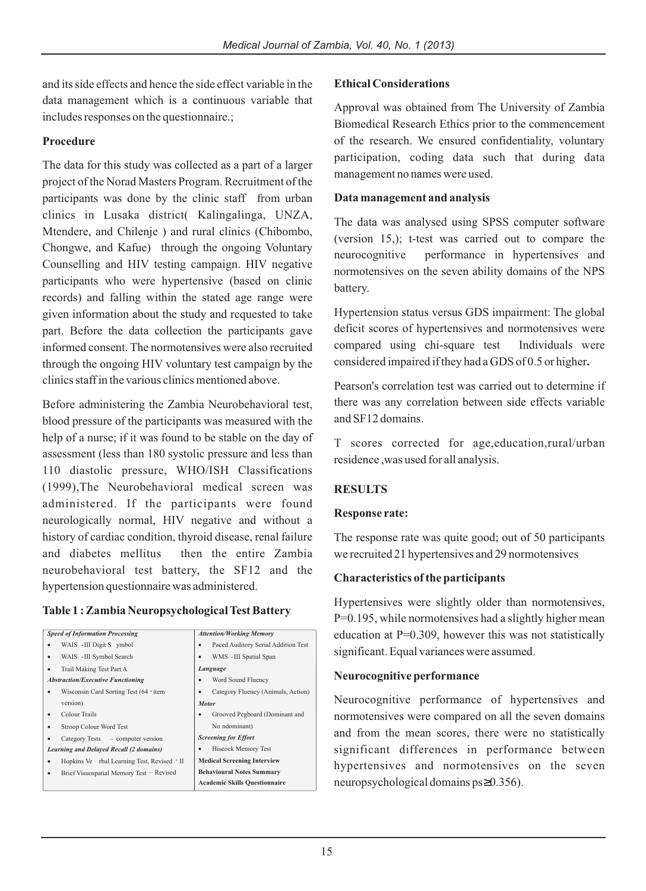# and its side effects and hence the side effect variable in the data management which is a continuous variable that includes responses on the questionnaire.;

### **Procedure**

The data for this study was collected as a part of a larger project of the Norad Masters Program. Recruitment of the participants was done by the clinic staff from urban clinics in Lusaka district( Kalingalinga, UNZA, Mtendere, and Chilenje ) and rural clinics (Chibombo, Chongwe, and Kafue) through the ongoing Voluntary Counselling and HIV testing campaign. HIV negative participants who were hypertensive (based on clinic records) and falling within the stated age range were given information about the study and requested to take part. Before the data collection the participants gave informed consent. The normotensives were also recruited through the ongoing HIV voluntary test campaign by the clinics staff in the various clinics mentioned above.

Before administering the Zambia Neurobehavioral test, blood pressure of the participants was measured with the help of a nurse; if it was found to be stable on the day of assessment (less than 180 systolic pressure and less than 110 diastolic pressure, WHO/ISH Classifications (1999),The Neurobehavioral medical screen was administered. If the participants were found neurologically normal, HIV negative and without a history of cardiac condition, thyroid disease, renal failure and diabetes mellitus then the entire Zambia neurobehavioral test battery, the SF12 and the hypertension questionnaire was administered.

### **Table 1 : Zambia Neuropsychological Test Battery**

| <b>Speed of Information Processing</b>         | <b>Attention/Working Memory</b>      |  |  |
|------------------------------------------------|--------------------------------------|--|--|
| WAIS - III Digit S ymbol                       | Paced Auditory Serial Addition Test  |  |  |
| WAIS - III Symbol Search                       | WMS - III Spatial Span               |  |  |
| Trail Making Test Part A                       | Language                             |  |  |
| <b>Abstraction/Executive Functioning</b>       | Word Sound Fluency                   |  |  |
| Wisconsin Card Sorting Test (64 - item         | Category Fluency (Animals, Action)   |  |  |
| version)                                       | <b>Motor</b>                         |  |  |
| Colour Trails                                  | Grooved Pegboard (Dominant and       |  |  |
| Stroop Colour Word Test                        | No ndominant)                        |  |  |
| Category Tests – computer version              | <b>Screening for Effort</b>          |  |  |
| <b>Learning and Delayed Recall (2 domains)</b> | Hiscock Memory Test                  |  |  |
| Hopkins Ve rbal Learning Test, Revised TI      | <b>Medical Screening Interview</b>   |  |  |
| Brief Visuospatial Memory Test - Revised       | <b>Behavioural Notes Summary</b>     |  |  |
|                                                | <b>Academic Skills Questionnaire</b> |  |  |

#### **Ethical Considerations**

Approval was obtained from The University of Zambia Biomedical Research Ethics prior to the commencement of the research. We ensured confidentiality, voluntary participation, coding data such that during data management no names were used.

#### **Data management and analysis**

The data was analysed using SPSS computer software (version 15,); t-test was carried out to compare the neurocognitive performance in hypertensives and normotensives on the seven ability domains of the NPS battery.

Hypertension status versus GDS impairment: The global deficit scores of hypertensives and normotensives were compared using chi-square test Individuals were considered impaired if they had a GDS of 0.5 or higher**.**

Pearson's correlation test was carried out to determine if there was any correlation between side effects variable and SF12 domains.

T scores corrected for age,education,rural/urban residence ,was used for all analysis.

### **RESULTS**

#### **Response rate:**

The response rate was quite good; out of 50 participants we recruited 21 hypertensives and 29 normotensives

#### **Characteristics of the participants**

Hypertensives were slightly older than normotensives, P=0.195, while normotensives had a slightly higher mean education at P=0.309, however this was not statistically significant. Equal variances were assumed.

#### **Neurocognitive performance**

Neurocognitive performance of hypertensives and normotensives were compared on all the seven domains and from the mean scores, there were no statistically significant differences in performance between hypertensives and normotensives on the seven neuropsychological domains ps 0.356).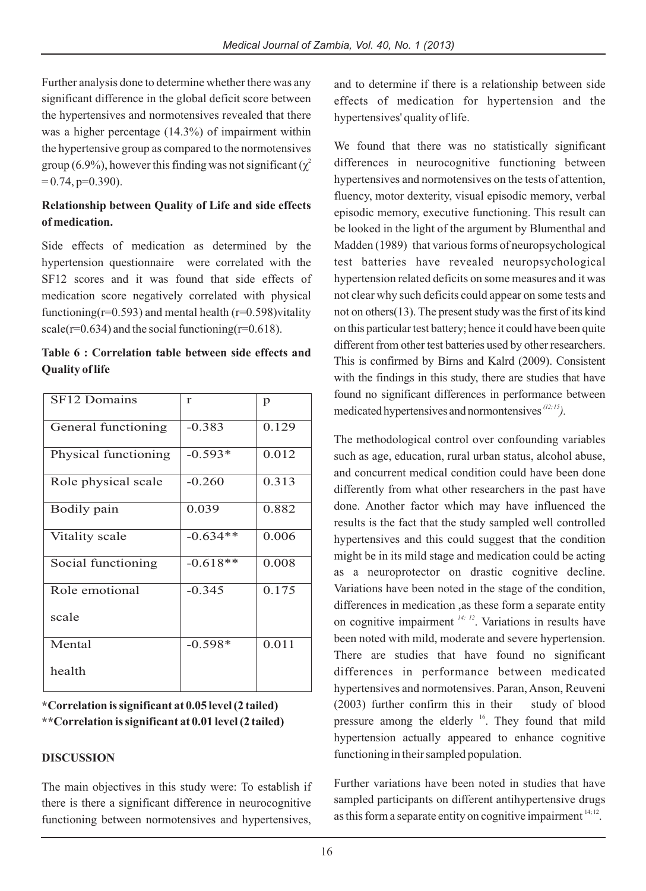Further analysis done to determine whether there was any significant difference in the global deficit score between the hypertensives and normotensives revealed that there was a higher percentage (14.3%) of impairment within the hypertensive group as compared to the normotensives group (6.9%), however this finding was not significant ( $\chi^2$  $= 0.74$ , p=0.390).

# **Relationship between Quality of Life and side effects of medication.**

Side effects of medication as determined by the hypertension questionnaire were correlated with the SF12 scores and it was found that side effects of medication score negatively correlated with physical functioning( $r=0.593$ ) and mental health ( $r=0.598$ ) vitality scale( $r=0.634$ ) and the social functioning( $r=0.618$ ).

|                        | Table 6 : Correlation table between side effects and |  |  |  |
|------------------------|------------------------------------------------------|--|--|--|
| <b>Quality of life</b> |                                                      |  |  |  |

| <b>SF12 Domains</b>  | r          | p     |
|----------------------|------------|-------|
| General functioning  | $-0.383$   | 0.129 |
| Physical functioning | $-0.593*$  | 0.012 |
| Role physical scale  | $-0.260$   | 0.313 |
| Bodily pain          | 0.039      | 0.882 |
| Vitality scale       | $-0.634**$ | 0.006 |
| Social functioning   | $-0.618**$ | 0.008 |
| Role emotional       | $-0.345$   | 0.175 |
| scale                |            |       |
| Mental               | $-0.598*$  | 0.011 |
| health               |            |       |

**\*Correlation is significant at 0.05 level (2 tailed) \*\*Correlation is significant at 0.01 level (2 tailed)**

# **DISCUSSION**

The main objectives in this study were: To establish if there is there a significant difference in neurocognitive functioning between normotensives and hypertensives,

and to determine if there is a relationship between side effects of medication for hypertension and the hypertensives' quality of life.

We found that there was no statistically significant differences in neurocognitive functioning between hypertensives and normotensives on the tests of attention, fluency, motor dexterity, visual episodic memory, verbal episodic memory, executive functioning. This result can be looked in the light of the argument by Blumenthal and Madden (1989) that various forms of neuropsychological test batteries have revealed neuropsychological hypertension related deficits on some measures and it was not clear why such deficits could appear on some tests and not on others $(13)$ . The present study was the first of its kind on this particular test battery; hence it could have been quite different from other test batteries used by other researchers. This is confirmed by Birns and Kalrd (2009). Consistent with the findings in this study, there are studies that have found no significant differences in performance between medicated hypertensives and normontensives <sup>(12; 15</sup>).

The methodological control over confounding variables such as age, education, rural urban status, alcohol abuse, and concurrent medical condition could have been done differently from what other researchers in the past have done. Another factor which may have influenced the results is the fact that the study sampled well controlled hypertensives and this could suggest that the condition might be in its mild stage and medication could be acting as a neuroprotector on drastic cognitive decline. Variations have been noted in the stage of the condition, differences in medication ,as these form a separate entity on cognitive impairment  $14$ ;  $12$ . Variations in results have been noted with mild, moderate and severe hypertension. There are studies that have found no significant differences in performance between medicated hypertensives and normotensives. Paran, Anson, Reuveni (2003) further confirm this in their study of blood pressure among the elderly <sup>16</sup>. They found that mild hypertension actually appeared to enhance cognitive functioning in their sampled population.

Further variations have been noted in studies that have sampled participants on different antihypertensive drugs as this form a separate entity on cognitive impairment  $14, 12$ .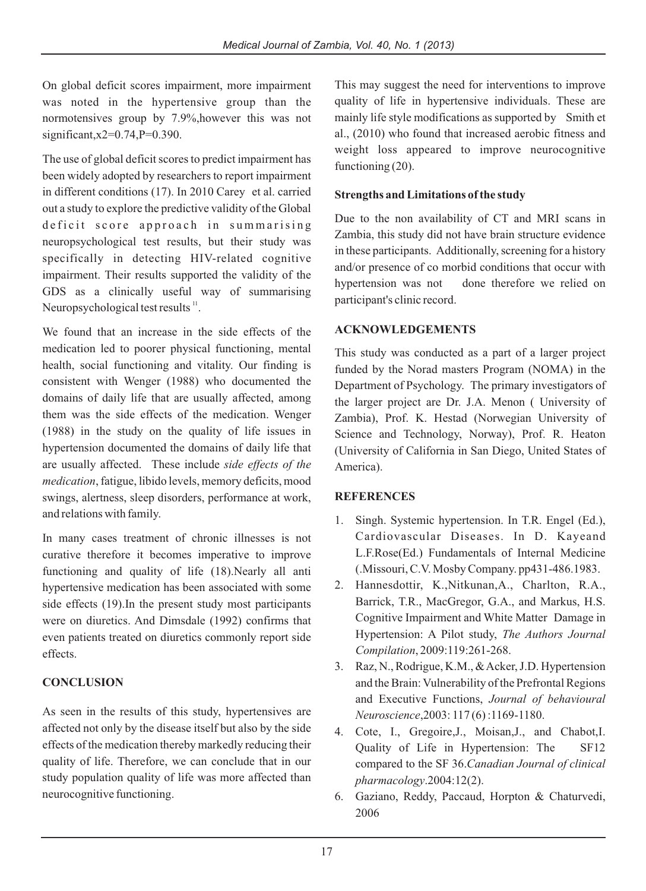On global deficit scores impairment, more impairment was noted in the hypertensive group than the normotensives group by 7.9%,however this was not significant, x2=0.74, P=0.390.

The use of global deficit scores to predict impairment has been widely adopted by researchers to report impairment in different conditions (17). In 2010 Carey et al. carried out a study to explore the predictive validity of the Global deficit score approach in summarising neuropsychological test results, but their study was specifically in detecting HIV-related cognitive impairment. Their results supported the validity of the GDS as a clinically useful way of summarising Neuropsychological test results  $\mathbf{u}$ .

We found that an increase in the side effects of the medication led to poorer physical functioning, mental health, social functioning and vitality. Our finding is consistent with Wenger (1988) who documented the domains of daily life that are usually affected, among them was the side effects of the medication. Wenger (1988) in the study on the quality of life issues in hypertension documented the domains of daily life that are usually affected. These include *side effects of the medication*, fatigue, libido levels, memory deficits, mood swings, alertness, sleep disorders, performance at work, and relations with family.

In many cases treatment of chronic illnesses is not curative therefore it becomes imperative to improve functioning and quality of life (18).Nearly all anti hypertensive medication has been associated with some side effects (19).In the present study most participants were on diuretics. And Dimsdale (1992) confirms that even patients treated on diuretics commonly report side effects.

# **CONCLUSION**

As seen in the results of this study, hypertensives are affected not only by the disease itself but also by the side effects of the medication thereby markedly reducing their quality of life. Therefore, we can conclude that in our study population quality of life was more affected than neurocognitive functioning.

This may suggest the need for interventions to improve quality of life in hypertensive individuals. These are mainly life style modifications as supported by Smith et al., (2010) who found that increased aerobic fitness and weight loss appeared to improve neurocognitive functioning  $(20)$ .

## **Strengths and Limitations of the study**

Due to the non availability of CT and MRI scans in Zambia, this study did not have brain structure evidence in these participants. Additionally, screening for a history and/or presence of co morbid conditions that occur with hypertension was not done therefore we relied on participant's clinic record.

# **ACKNOWLEDGEMENTS**

This study was conducted as a part of a larger project funded by the Norad masters Program (NOMA) in the Department of Psychology. The primary investigators of the larger project are Dr. J.A. Menon ( University of Zambia), Prof. K. Hestad (Norwegian University of Science and Technology, Norway), Prof. R. Heaton (University of California in San Diego, United States of America).

# **REFERENCES**

- 1. Singh. Systemic hypertension. In T.R. Engel (Ed.), Cardiovascular Diseases. In D. Kayeand L.F.Rose(Ed.) Fundamentals of Internal Medicine (.Missouri, C.V. Mosby Company. pp431-486.1983.
- 2. Hannesdottir, K.,Nitkunan,A., Charlton, R.A., Barrick, T.R., MacGregor, G.A., and Markus, H.S. Cognitive Impairment and White Matter Damage in Hypertension: A Pilot study, *The Authors Journal Compilation*, 2009:119:261-268.
- 3. Raz, N., Rodrigue, K.M., & Acker, J.D. Hypertension and the Brain: Vulnerability of the Prefrontal Regions and Executive Functions, *Journal of behavioural Neuroscience*,2003: 117 (6) :1169-1180.
- 4. Cote, I., Gregoire,J., Moisan,J., and Chabot,I. Quality of Life in Hypertension: The SF12 compared to the SF 36.*Canadian Journal of clinical pharmacology*.2004:12(2).
- 6. Gaziano, Reddy, Paccaud, Horpton & Chaturvedi, 2006